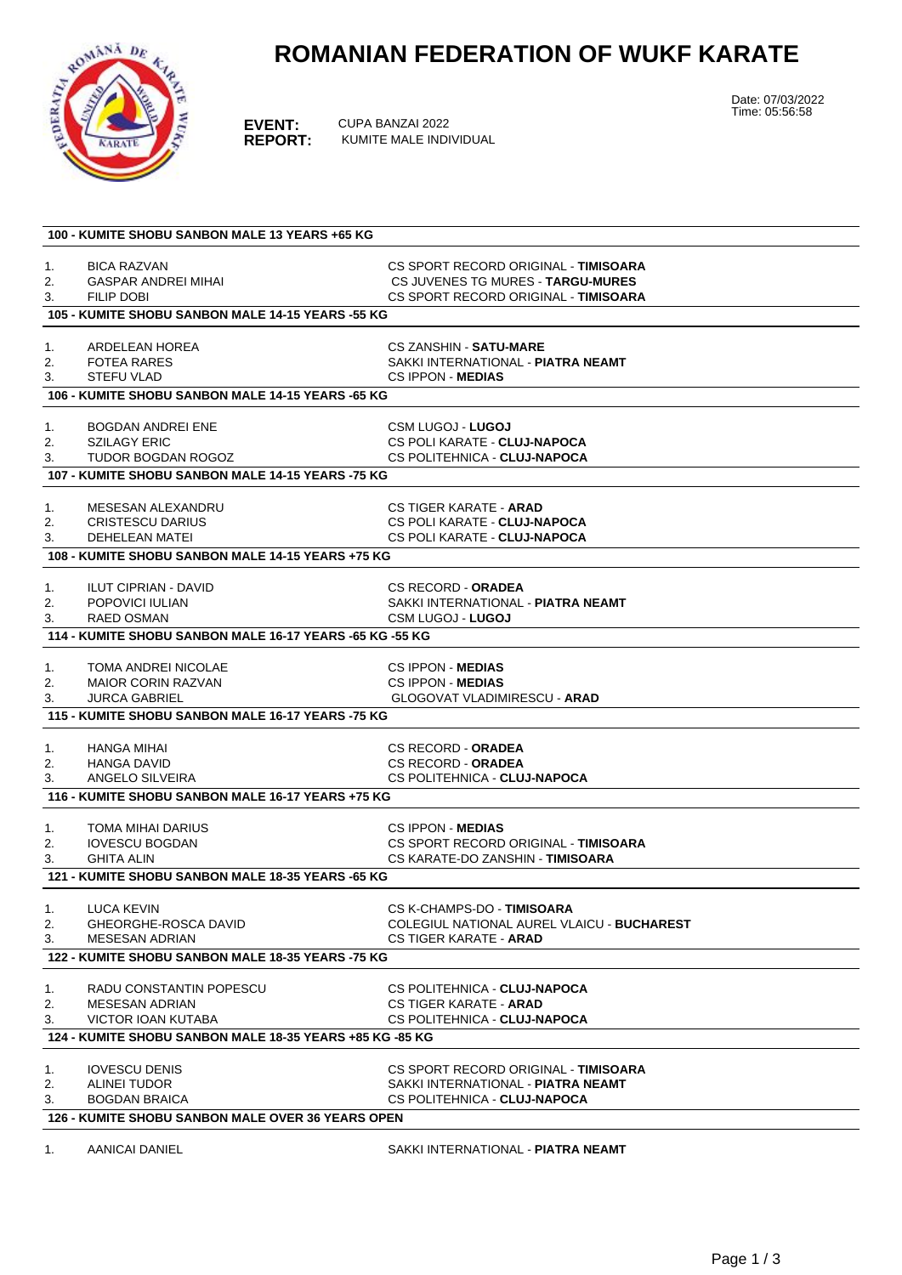## **ROMANIAN FEDERATION OF WUKF KARATE**



**EVENT:** CUPA BANZAI 2022<br>**REPORT:** KUMITE MALE INDI **REPORT:** KUMITE MALE INDIVIDUAL Date: 07/03/2022 Time: 05:56:58

| 100 - KUMITE SHOBU SANBON MALE 13 YEARS +65 KG           |                                                          |                                                                |  |  |  |
|----------------------------------------------------------|----------------------------------------------------------|----------------------------------------------------------------|--|--|--|
| 1.                                                       | <b>BICA RAZVAN</b>                                       | CS SPORT RECORD ORIGINAL - TIMISOARA                           |  |  |  |
| 2.                                                       | GASPAR ANDREI MIHAI                                      | CS JUVENES TG MURES - TARGU-MURES                              |  |  |  |
| 3.                                                       | <b>FILIP DOBI</b>                                        | CS SPORT RECORD ORIGINAL - TIMISOARA                           |  |  |  |
|                                                          | 105 - KUMITE SHOBU SANBON MALE 14-15 YEARS -55 KG        |                                                                |  |  |  |
|                                                          |                                                          |                                                                |  |  |  |
| 1.                                                       | ARDELEAN HOREA                                           | <b>CS ZANSHIN - SATU-MARE</b>                                  |  |  |  |
| 2.                                                       | <b>FOTEA RARES</b><br><b>STEFU VLAD</b>                  | SAKKI INTERNATIONAL - PIATRA NEAMT<br><b>CS IPPON - MEDIAS</b> |  |  |  |
|                                                          | 3.<br>106 - KUMITE SHOBU SANBON MALE 14-15 YEARS -65 KG  |                                                                |  |  |  |
|                                                          |                                                          |                                                                |  |  |  |
| 1.                                                       | <b>BOGDAN ANDREI ENE</b>                                 | <b>CSM LUGOJ - LUGOJ</b>                                       |  |  |  |
| 2.                                                       | <b>SZILAGY ERIC</b>                                      | CS POLI KARATE - CLUJ-NAPOCA                                   |  |  |  |
| 3.                                                       | TUDOR BOGDAN ROGOZ                                       | CS POLITEHNICA - CLUJ-NAPOCA                                   |  |  |  |
|                                                          | 107 - KUMITE SHOBU SANBON MALE 14-15 YEARS -75 KG        |                                                                |  |  |  |
| 1.                                                       | MESESAN ALEXANDRU                                        | <b>CS TIGER KARATE - ARAD</b>                                  |  |  |  |
| 2.                                                       | <b>CRISTESCU DARIUS</b>                                  | CS POLI KARATE - CLUJ-NAPOCA                                   |  |  |  |
| 3.                                                       | <b>DEHELEAN MATEI</b>                                    | CS POLI KARATE - CLUJ-NAPOCA                                   |  |  |  |
|                                                          | 108 - KUMITE SHOBU SANBON MALE 14-15 YEARS +75 KG        |                                                                |  |  |  |
| 1.                                                       | <b>ILUT CIPRIAN - DAVID</b>                              | <b>CS RECORD - ORADEA</b>                                      |  |  |  |
| 2.                                                       | POPOVICI IULIAN                                          | SAKKI INTERNATIONAL - PIATRA NEAMT                             |  |  |  |
| 3.                                                       | <b>RAED OSMAN</b>                                        | <b>CSM LUGOJ - LUGOJ</b>                                       |  |  |  |
|                                                          | 114 - KUMITE SHOBU SANBON MALE 16-17 YEARS -65 KG -55 KG |                                                                |  |  |  |
|                                                          |                                                          |                                                                |  |  |  |
| 1.                                                       | TOMA ANDREI NICOLAE                                      | <b>CS IPPON - MEDIAS</b>                                       |  |  |  |
| 2.                                                       | <b>MAIOR CORIN RAZVAN</b><br><b>JURCA GABRIEL</b>        | <b>CS IPPON MEDIAS</b><br><b>GLOGOVAT VLADIMIRESCU - ARAD</b>  |  |  |  |
| 3.                                                       |                                                          |                                                                |  |  |  |
|                                                          | 115 - KUMITE SHOBU SANBON MALE 16-17 YEARS -75 KG        |                                                                |  |  |  |
| 1.                                                       | HANGA MIHAI                                              | <b>CS RECORD - ORADEA</b>                                      |  |  |  |
| 2.                                                       | <b>HANGA DAVID</b>                                       | <b>CS RECORD - ORADEA</b>                                      |  |  |  |
| 3.                                                       | ANGELO SILVEIRA                                          | CS POLITEHNICA - CLUJ-NAPOCA                                   |  |  |  |
|                                                          | 116 - KUMITE SHOBU SANBON MALE 16-17 YEARS +75 KG        |                                                                |  |  |  |
| 1.                                                       | TOMA MIHAI DARIUS                                        | <b>CS IPPON MEDIAS</b>                                         |  |  |  |
| 2.                                                       | <b>IOVESCU BOGDAN</b>                                    | CS SPORT RECORD ORIGINAL - TIMISOARA                           |  |  |  |
| 3.                                                       | <b>GHITA ALIN</b>                                        | CS KARATE-DO ZANSHIN - TIMISOARA                               |  |  |  |
| 121 - KUMITE SHOBU SANBON MALE 18-35 YEARS -65 KG        |                                                          |                                                                |  |  |  |
|                                                          | 1. LUCA KEVIN                                            | CS K-CHAMPS-DO - TIMISOARA                                     |  |  |  |
| 2.                                                       | <b>GHEORGHE-ROSCA DAVID</b>                              | <b>COLEGIUL NATIONAL AUREL VLAICU - BUCHAREST</b>              |  |  |  |
| 3.                                                       | <b>MESESAN ADRIAN</b>                                    | <b>CS TIGER KARATE - ARAD</b>                                  |  |  |  |
|                                                          | 122 - KUMITE SHOBU SANBON MALE 18-35 YEARS -75 KG        |                                                                |  |  |  |
| 1.                                                       | RADU CONSTANTIN POPESCU                                  | CS POLITEHNICA - CLUJ-NAPOCA                                   |  |  |  |
| 2.                                                       | <b>MESESAN ADRIAN</b>                                    | <b>CS TIGER KARATE - ARAD</b>                                  |  |  |  |
| 3.                                                       | <b>VICTOR IOAN KUTABA</b>                                | CS POLITEHNICA - CLUJ-NAPOCA                                   |  |  |  |
| 124 - KUMITE SHOBU SANBON MALE 18-35 YEARS +85 KG -85 KG |                                                          |                                                                |  |  |  |
| 1.                                                       | <b>IOVESCU DENIS</b>                                     | CS SPORT RECORD ORIGINAL - TIMISOARA                           |  |  |  |
| 2.                                                       | <b>ALINEI TUDOR</b>                                      | SAKKI INTERNATIONAL - PIATRA NEAMT                             |  |  |  |
| 3.                                                       | <b>BOGDAN BRAICA</b>                                     | CS POLITEHNICA - CLUJ-NAPOCA                                   |  |  |  |
|                                                          | <b>126 - KUMITE SHOBU SANBON MALE OVER 36 YEARS OPEN</b> |                                                                |  |  |  |
|                                                          |                                                          |                                                                |  |  |  |

1. AANICAI DANIEL **SAKKI INTERNATIONAL - PIATRA NEAMT**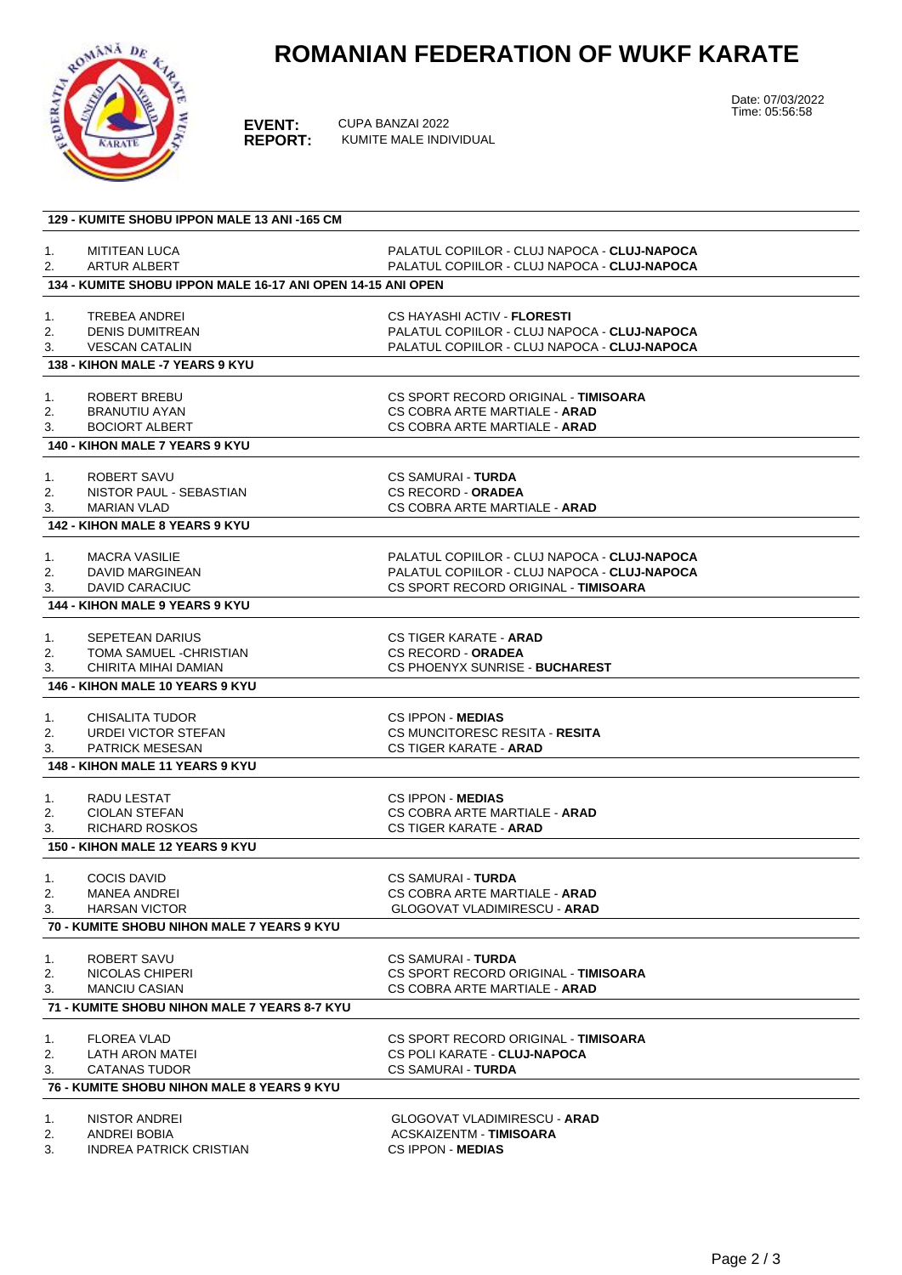## **ROMANIAN FEDERATION OF WUKF KARATE**



**EVENT:** CUPA BANZAI 2022<br>**REPORT:** KUMITE MALE INDI **REPORT:** KUMITE MALE INDIVIDUAL Date: 07/03/2022 Time: 05:56:58

|          | 129 - KUMITE SHOBU IPPON MALE 13 ANI -165 CM                |                                                         |
|----------|-------------------------------------------------------------|---------------------------------------------------------|
| 1.       | <b>MITITEAN LUCA</b>                                        | PALATUL COPIILOR - CLUJ NAPOCA - CLUJ-NAPOCA            |
| 2.       | <b>ARTUR ALBERT</b>                                         | PALATUL COPIILOR - CLUJ NAPOCA - CLUJ-NAPOCA            |
|          | 134 - KUMITE SHOBU IPPON MALE 16-17 ANI OPEN 14-15 ANI OPEN |                                                         |
|          |                                                             |                                                         |
| 1.       | TREBEA ANDREI                                               | CS HAYASHI ACTIV - <b>FLORESTI</b>                      |
| 2.       | <b>DENIS DUMITREAN</b>                                      | PALATUL COPIILOR - CLUJ NAPOCA - CLUJ-NAPOCA            |
| 3.       | <b>VESCAN CATALIN</b>                                       | PALATUL COPIILOR - CLUJ NAPOCA - CLUJ-NAPOCA            |
|          | 138 - KIHON MALE -7 YEARS 9 KYU                             |                                                         |
|          | ROBERT BREBU                                                | CS SPORT RECORD ORIGINAL - TIMISOARA                    |
| 1.<br>2. | <b>BRANUTIU AYAN</b>                                        | CS COBRA ARTE MARTIALE - ARAD                           |
| 3.       | <b>BOCIORT ALBERT</b>                                       | CS COBRA ARTE MARTIALE - ARAD                           |
|          | 140 - KIHON MALE 7 YEARS 9 KYU                              |                                                         |
|          |                                                             |                                                         |
| 1.       | ROBERT SAVU                                                 | CS SAMURAI - <b>TURDA</b>                               |
| 2.       | NISTOR PAUL - SEBASTIAN                                     | <b>CS RECORD - ORADEA</b>                               |
| 3.       | <b>MARIAN VLAD</b>                                          | CS COBRA ARTE MARTIALE - ARAD                           |
|          | <b>142 - KIHON MALE 8 YEARS 9 KYU</b>                       |                                                         |
| 1.       | <b>MACRA VASILIE</b>                                        | PALATUL COPIILOR - CLUJ NAPOCA - CLUJ-NAPOCA            |
| 2.       | DAVID MARGINEAN                                             | PALATUL COPIILOR - CLUJ NAPOCA - CLUJ-NAPOCA            |
| 3.       | DAVID CARACIUC                                              | CS SPORT RECORD ORIGINAL - TIMISOARA                    |
|          | <b>144 - KIHON MALE 9 YEARS 9 KYU</b>                       |                                                         |
|          |                                                             |                                                         |
| 1.       | <b>SEPETEAN DARIUS</b>                                      | CS TIGER KARATE - ARAD                                  |
| 2.       | TOMA SAMUEL -CHRISTIAN                                      | <b>CS RECORD - ORADEA</b>                               |
| 3.       | CHIRITA MIHAI DAMIAN                                        | CS PHOENYX SUNRISE - BUCHAREST                          |
|          | <b>146 - KIHON MALE 10 YEARS 9 KYU</b>                      |                                                         |
| 1.       | <b>CHISALITA TUDOR</b>                                      | <b>CS IPPON - MEDIAS</b>                                |
| 2.       | URDEI VICTOR STEFAN                                         | CS MUNCITORESC RESITA - RESITA                          |
| 3.       | <b>PATRICK MESESAN</b>                                      | <b>CS TIGER KARATE - ARAD</b>                           |
|          | <b>148 - KIHON MALE 11 YEARS 9 KYU</b>                      |                                                         |
|          |                                                             |                                                         |
| 1.       | RADU LESTAT                                                 | <b>CS IPPON MEDIAS</b>                                  |
| 2.       | <b>CIOLAN STEFAN</b><br><b>RICHARD ROSKOS</b>               | CS COBRA ARTE MARTIALE - ARAD<br>CS TIGER KARATE - ARAD |
| 3.       |                                                             |                                                         |
|          | <b>150 - KIHON MALE 12 YEARS 9 KYU</b>                      |                                                         |
| 1.       | <b>COCIS DAVID</b>                                          | <b>CS SAMURAI - TURDA</b>                               |
| 2.       | <b>MANEA ANDREI</b>                                         | CS COBRA ARTE MARTIALE - ARAD                           |
| 3.       | <b>HARSAN VICTOR</b>                                        | <b>GLOGOVAT VLADIMIRESCU - ARAD</b>                     |
|          | <b>70 - KUMITE SHOBU NIHON MALE 7 YEARS 9 KYU</b>           |                                                         |
|          | ROBERT SAVU                                                 | <b>CS SAMURAI - TURDA</b>                               |
| 1.<br>2. | NICOLAS CHIPERI                                             | CS SPORT RECORD ORIGINAL - TIMISOARA                    |
| 3.       | <b>MANCIU CASIAN</b>                                        | CS COBRA ARTE MARTIALE - ARAD                           |
|          | 71 - KUMITE SHOBU NIHON MALE 7 YEARS 8-7 KYU                |                                                         |
|          |                                                             |                                                         |
| 1.       | <b>FLOREA VLAD</b>                                          | CS SPORT RECORD ORIGINAL - TIMISOARA                    |
| 2.       | LATH ARON MATEI                                             | CS POLI KARATE - CLUJ-NAPOCA                            |
| 3.       | <b>CATANAS TUDOR</b>                                        | <b>CS SAMURAI - TURDA</b>                               |
|          | <b>76 - KUMITE SHOBU NIHON MALE 8 YEARS 9 KYU</b>           |                                                         |
|          |                                                             |                                                         |
| 1.       | NISTOR ANDREI                                               | GLOGOVAT VLADIMIRESCU - ARAD                            |
| 2.       | ANDREI BOBIA                                                | <b>ACSKAIZENTM - TIMISOARA</b>                          |